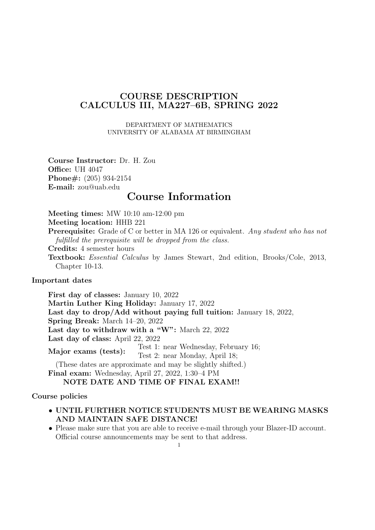## **COURSE DESCRIPTION CALCULUS III, MA227–6B, SPRING 2022**

DEPARTMENT OF MATHEMATICS UNIVERSITY OF ALABAMA AT BIRMINGHAM

**Course Instructor:** Dr. H. Zou **Office:** UH 4047 **Phone#:** (205) 934-2154 **E-mail:** zou@uab.edu

# **Course Information**

**Meeting times:** MW 10:10 am-12:00 pm **Meeting location:** HHB 221 **Prerequisite:** Grade of C or better in MA 126 or equivalent. *Any student who has not fulfilled the prerequisite will be dropped from the class.* **Credits:** 4 semester hours

**Textbook:** *Essential Calculus* by James Stewart, 2nd edition, Brooks/Cole, 2013, Chapter 10-13.

**Important dates**

**First day of classes:** January 10, 2022 **Martin Luther King Holiday:** January 17, 2022 **Last day to drop/Add without paying full tuition:** January 18, 2022, **Spring Break:** March 14–20, 2022 **Last day to withdraw with a "W":** March 22, 2022 **Last day of class:** April 22, 2022 **Major exams (tests):** Test 1: near Wednesday, February 16; Test 2: near Monday, April 18; (These dates are approximate and may be slightly shifted.) **Final exam:** Wednesday, April 27, 2022, 1:30–4 PM **NOTE DATE AND TIME OF FINAL EXAM!!**

### **Course policies**

- *•* **UNTIL FURTHER NOTICE STUDENTS MUST BE WEARING MASKS AND MAINTAIN SAFE DISTANCE!**
- Please make sure that you are able to receive e-mail through your Blazer-ID account. Official course announcements may be sent to that address.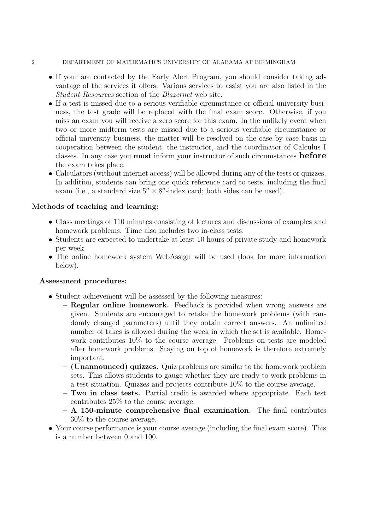### 2 DEPARTMENT OF MATHEMATICS UNIVERSITY OF ALABAMA AT BIRMINGHAM

- If your are contacted by the Early Alert Program, you should consider taking advantage of the services it offers. Various services to assist you are also listed in the *Student Resources* section of the *Blazernet* web site.
- If a test is missed due to a serious verifiable circumstance or official university business, the test grade will be replaced with the final exam score. Otherwise, if you miss an exam you will receive a zero score for this exam. In the unlikely event when two or more midterm tests are missed due to a serious verifiable circumstance or official university business, the matter will be resolved on the case by case basis in cooperation between the student, the instructor, and the coordinator of Calculus I classes. In any case you **must** inform your instructor of such circumstances **before** the exam takes place.
- Calculators (without internet access) will be allowed during any of the tests or quizzes. In addition, students can bring one quick reference card to tests, including the final exam (i.e., a standard size 5*′′ ×* 8 *′′*-index card; both sides can be used).

### **Methods of teaching and learning:**

- Class meetings of 110 minutes consisting of lectures and discussions of examples and homework problems. Time also includes two in-class tests.
- *•* Students are expected to undertake at least 10 hours of private study and homework per week.
- The online homework system WebAssign will be used (look for more information below).

### **Assessment procedures:**

- Student achievement will be assessed by the following measures:
	- **– Regular online homework.** Feedback is provided when wrong answers are given. Students are encouraged to retake the homework problems (with randomly changed parameters) until they obtain correct answers. An unlimited number of takes is allowed during the week in which the set is available. Homework contributes 10% to the course average. Problems on tests are modeled after homework problems. Staying on top of homework is therefore extremely important.
	- **– (Unannounced) quizzes.** Quiz problems are similar to the homework problem sets. This allows students to gauge whether they are ready to work problems in a test situation. Quizzes and projects contribute 10% to the course average.
	- **– Two in class tests.** Partial credit is awarded where appropriate. Each test contributes 25% to the course average.
	- **– A 150-minute comprehensive final examination.** The final contributes 30% to the course average.
- Your course performance is your course average (including the final exam score). This is a number between 0 and 100.